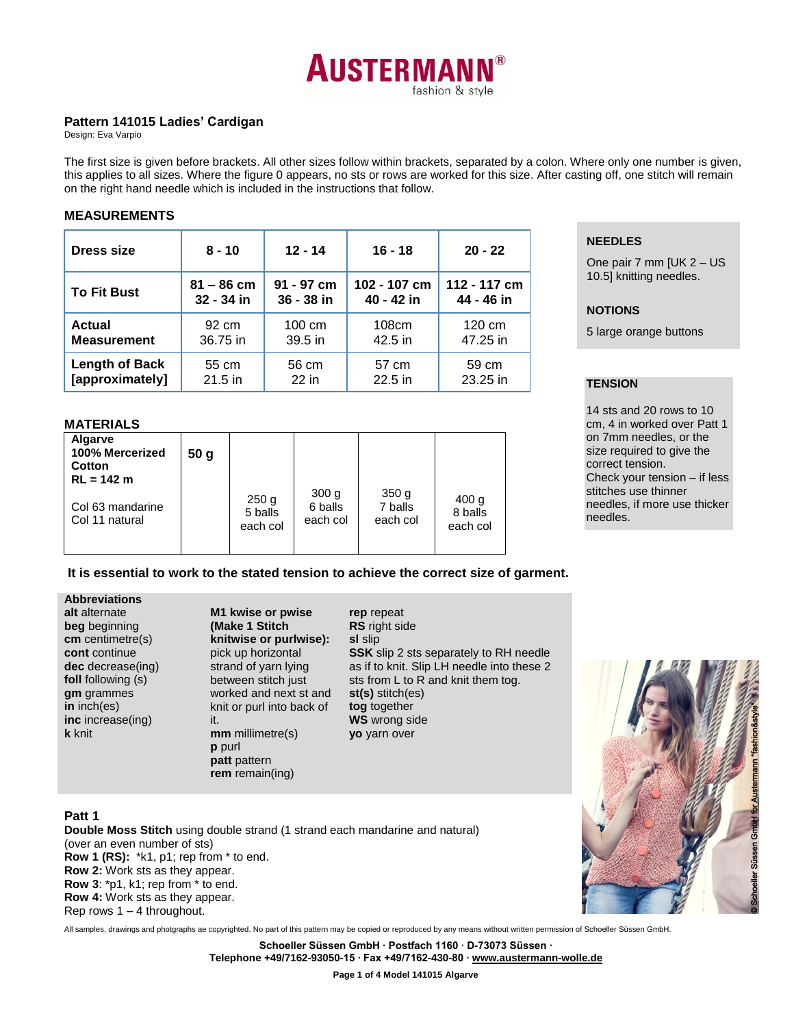

## **Pattern 141015 Ladies' Cardigan**

Design: Eva Varpio

The first size is given before brackets. All other sizes follow within brackets, separated by a colon. Where only one number is given, this applies to all sizes. Where the figure 0 appears, no sts or rows are worked for this size. After casting off, one stitch will remain on the right hand needle which is included in the instructions that follow.

#### **MEASUREMENTS**

| <b>Dress size</b>     | $8 - 10$     | $12 - 14$  | $16 - 18$    | $20 - 22$    |
|-----------------------|--------------|------------|--------------|--------------|
| <b>To Fit Bust</b>    | $81 - 86$ cm | 91 - 97 cm | 102 - 107 cm | 112 - 117 cm |
|                       | 32 - 34 in   | 36 - 38 in | 40 - 42 in   | 44 - 46 in   |
| Actual                | 92 cm        | 100 cm     | 108cm        | 120 cm       |
| <b>Measurement</b>    | 36.75 in     | 39.5 in    | 42.5 in      | 47.25 in     |
| <b>Length of Back</b> | 55 cm        | 56 cm      | 57 cm        | 59 cm        |
| [approximately]       | $21.5$ in    | $22$ in    | 22.5 in      | 23.25 in     |

## **NEEDLES**

One pair 7 mm [UK 2 – US 10.5] knitting needles.

## **NOTIONS**

5 large orange buttons

### **TENSION**

14 sts and 20 rows to 10 cm, 4 in worked over Patt 1 on 7mm needles, or the size required to give the correct tension. Check your tension – if less stitches use thinner needles, if more use thicker needles.

### **MATERIALS**

| Algarve<br>100% Mercerized<br>Cotton<br>$RL = 142 m$ | 50 <sub>q</sub> |                                         |                                         |                                         |                                         |
|------------------------------------------------------|-----------------|-----------------------------------------|-----------------------------------------|-----------------------------------------|-----------------------------------------|
| Col 63 mandarine<br>Col 11 natural                   |                 | 250 <sub>g</sub><br>5 balls<br>each col | 300 <sub>g</sub><br>6 balls<br>each col | 350 <sub>g</sub><br>7 balls<br>each col | 400 <sub>g</sub><br>8 balls<br>each col |

## **It is essential to work to the stated tension to achieve the correct size of garment.**

| <b>Abbreviations</b> |
|----------------------|
| alt alternate        |
| beg beginning        |
| cm centimetre(s)     |
| cont continue        |
| dec decrease(ing)    |
| foll following (s)   |
| gm grammes           |
| in inch(es)          |
| inc increase(ing)    |
| k knit               |
|                      |

**Abbreviations**

**M1 kwise or pwise (Make 1 Stitch knitwise or purlwise):**  pick up horizontal strand of yarn lying between stitch just worked and next st and knit or purl into back of it. **mm** millimetre(s) **p** purl **patt** pattern **rem** remain(ing)

**rep** repeat **RS** right side **sl** slip **SSK** slip 2 sts separately to RH needle as if to knit. Slip LH needle into these 2 sts from L to R and knit them tog. **st(s)** stitch(es) **tog** together **WS** wrong side **yo** yarn over

# **Patt 1**

**Double Moss Stitch** using double strand (1 strand each mandarine and natural) (over an even number of sts) **Row 1 (RS):** \*k1, p1; rep from \* to end. **Row 2:** Work sts as they appear. **Row 3**: \*p1, k1; rep from \* to end. **Row 4:** Work sts as they appear. Rep rows  $1 - 4$  throughout.

All samples, drawings and photgraphs ae copyrighted. No part of this pattern may be copied or reproduced by any means without written permission of Schoeller Süssen GmbH.

**Schoeller Süssen GmbH ∙ Postfach 1160 ∙ D-73073 Süssen ∙ Telephone +49/7162-93050-15 ∙ Fax +49/7162-430-80 [∙ www.austermann-wolle.de](http://www.austermann-wolle.de/)**

**Page 1 of 4 Model 141015 Algarve**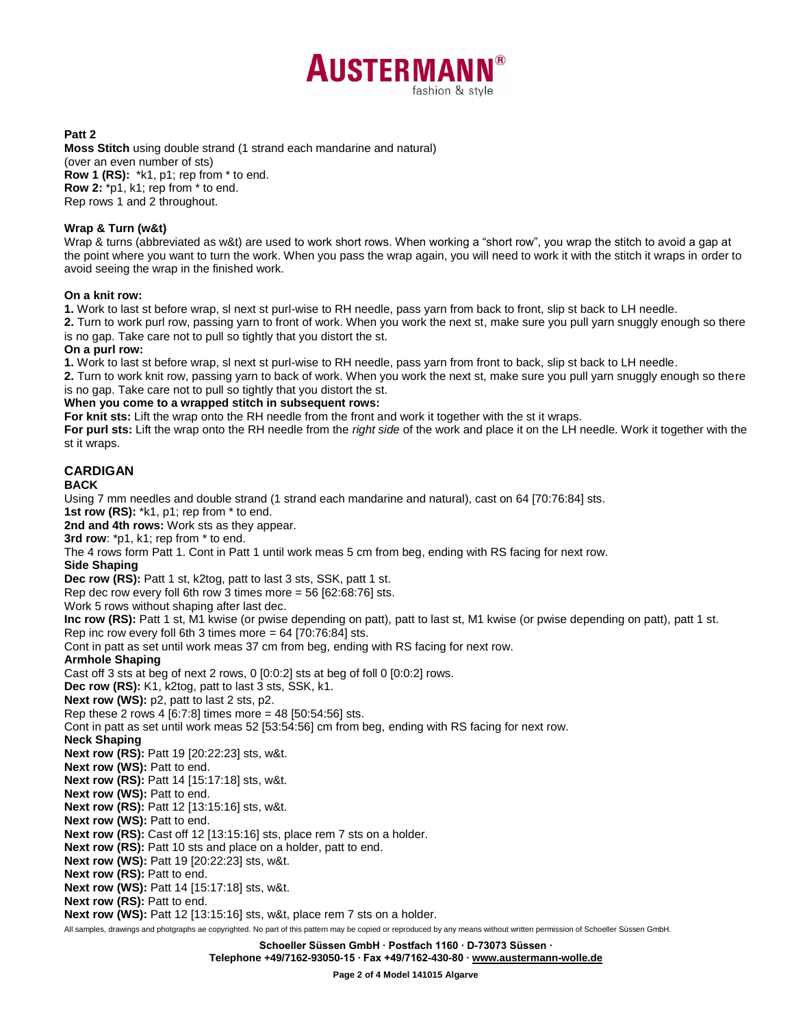

**Patt 2**

**Moss Stitch** using double strand (1 strand each mandarine and natural) (over an even number of sts) **Row 1 (RS):** \*k1, p1; rep from \* to end. **Row 2:** \*p1, k1; rep from \* to end. Rep rows 1 and 2 throughout.

#### **Wrap & Turn (w&t)**

Wrap & turns (abbreviated as w&t) are used to work short rows. When working a "short row", you wrap the stitch to avoid a gap at the point where you want to turn the work. When you pass the wrap again, you will need to work it with the stitch it wraps in order to avoid seeing the wrap in the finished work.

#### **On a knit row:**

**1.** Work to last st before wrap, sl next st purl-wise to RH needle, pass yarn from back to front, slip st back to LH needle.

**2.** Turn to work purl row, passing yarn to front of work. When you work the next st, make sure you pull yarn snuggly enough so there is no gap. Take care not to pull so tightly that you distort the st.

#### **On a purl row:**

**1.** Work to last st before wrap, sl next st purl-wise to RH needle, pass yarn from front to back, slip st back to LH needle.

**2.** Turn to work knit row, passing yarn to back of work. When you work the next st, make sure you pull yarn snuggly enough so there is no gap. Take care not to pull so tightly that you distort the st.

#### **When you come to a wrapped stitch in subsequent rows:**

**For knit sts:** Lift the wrap onto the RH needle from the front and work it together with the st it wraps.

**For purl sts:** Lift the wrap onto the RH needle from the *right side* of the work and place it on the LH needle. Work it together with the st it wraps.

#### **CARDIGAN BACK**

Using 7 mm needles and double strand (1 strand each mandarine and natural), cast on 64 [70:76:84] sts.

**1st row (RS):** \*k1, p1; rep from \* to end.

**2nd and 4th rows:** Work sts as they appear.

**3rd row**: \*p1, k1; rep from \* to end.

The 4 rows form Patt 1. Cont in Patt 1 until work meas 5 cm from beg, ending with RS facing for next row.

#### **Side Shaping**

**Dec row (RS):** Patt 1 st, k2tog, patt to last 3 sts, SSK, patt 1 st.

Rep dec row every foll 6th row 3 times more = 56 [62:68:76] sts.

Work 5 rows without shaping after last dec.

**Inc row (RS):** Patt 1 st, M1 kwise (or pwise depending on patt), patt to last st, M1 kwise (or pwise depending on patt), patt 1 st. Rep inc row every foll 6th 3 times more  $= 64$  [70:76:84] sts.

Cont in patt as set until work meas 37 cm from beg, ending with RS facing for next row.

#### **Armhole Shaping**

Cast off 3 sts at beg of next 2 rows, 0 [0:0:2] sts at beg of foll 0 [0:0:2] rows.

**Dec row (RS):** K1, k2tog, patt to last 3 sts, SSK, k1.

**Next row (WS):** p2, patt to last 2 sts, p2.

Rep these 2 rows 4 [6:7:8] times more = 48 [50:54:56] sts.

Cont in patt as set until work meas 52 [53:54:56] cm from beg, ending with RS facing for next row.

**Neck Shaping**

**Next row (RS):** Patt 19 [20:22:23] sts, w&t.

**Next row (WS):** Patt to end.

**Next row (RS):** Patt 14 [15:17:18] sts, w&t.

**Next row (WS): Patt to end.** 

**Next row (RS):** Patt 12 [13:15:16] sts, w&t.

**Next row (WS):** Patt to end.

**Next row (RS):** Cast off 12 [13:15:16] sts, place rem 7 sts on a holder.

**Next row (RS):** Patt 10 sts and place on a holder, patt to end.

**Next row (WS):** Patt 19 [20:22:23] sts, w&t.

**Next row (RS): Patt to end.** 

**Next row (WS):** Patt 14 [15:17:18] sts, w&t.

**Next row (RS): Patt to end.** 

**Next row (WS):** Patt 12 [13:15:16] sts, w&t, place rem 7 sts on a holder.

All samples, drawings and photgraphs ae copyrighted. No part of this pattern may be copied or reproduced by any means without written permission of Schoeller Süssen GmbH.

**Schoeller Süssen GmbH ∙ Postfach 1160 ∙ D-73073 Süssen ∙**

**Telephone +49/7162-93050-15 ∙ Fax +49/7162-430-80 [∙ www.austermann-wolle.de](http://www.austermann-wolle.de/)**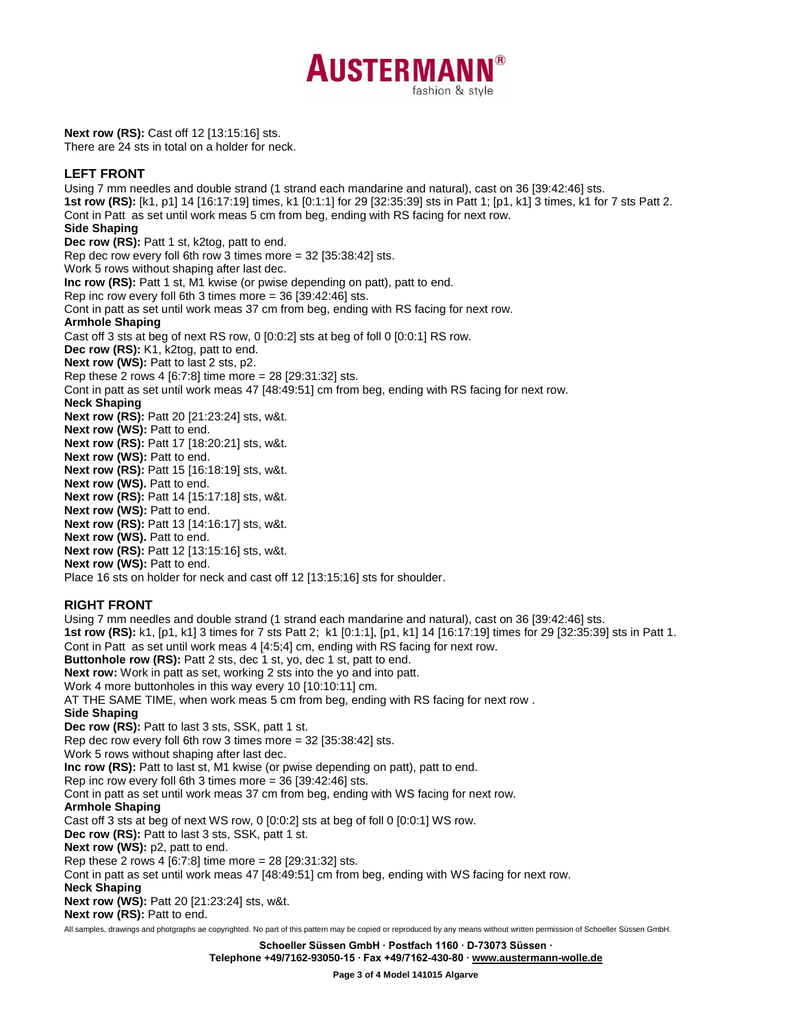

**Next row (RS):** Cast off 12 [13:15:16] sts. There are 24 sts in total on a holder for neck.

## **LEFT FRONT**

Using 7 mm needles and double strand (1 strand each mandarine and natural), cast on 36 [39:42:46] sts. **1st row (RS):** [k1, p1] 14 [16:17:19] times, k1 [0:1:1] for 29 [32:35:39] sts in Patt 1; [p1, k1] 3 times, k1 for 7 sts Patt 2. Cont in Patt as set until work meas 5 cm from beg, ending with RS facing for next row. **Side Shaping Dec row (RS):** Patt 1 st, k2tog, patt to end. Rep dec row every foll 6th row 3 times more = 32 [35:38:42] sts. Work 5 rows without shaping after last dec. **Inc row (RS):** Patt 1 st, M1 kwise (or pwise depending on patt), patt to end. Rep inc row every foll 6th 3 times more = 36 [39:42:46] sts. Cont in patt as set until work meas 37 cm from beg, ending with RS facing for next row. **Armhole Shaping** Cast off 3 sts at beg of next RS row, 0 [0:0:2] sts at beg of foll 0 [0:0:1] RS row. **Dec row (RS):** K1, k2tog, patt to end. **Next row (WS):** Patt to last 2 sts, p2. Rep these 2 rows 4 [6:7:8] time more = 28 [29:31:32] sts. Cont in patt as set until work meas 47 [48:49:51] cm from beg, ending with RS facing for next row. **Neck Shaping Next row (RS):** Patt 20 [21:23:24] sts, w&t. **Next row (WS): Patt to end. Next row (RS):** Patt 17 [18:20:21] sts, w&t. **Next row (WS): Patt to end. Next row (RS):** Patt 15 [16:18:19] sts, w&t. **Next row (WS).** Patt to end. **Next row (RS):** Patt 14 [15:17:18] sts, w&t. **Next row (WS):** Patt to end. **Next row (RS):** Patt 13 [14:16:17] sts, w&t. **Next row (WS).** Patt to end. **Next row (RS):** Patt 12 [13:15:16] sts, w&t. **Next row (WS):** Patt to end. Place 16 sts on holder for neck and cast off 12 [13:15:16] sts for shoulder. **RIGHT FRONT** Using 7 mm needles and double strand (1 strand each mandarine and natural), cast on 36 [39:42:46] sts. **1st row (RS):** k1, [p1, k1] 3 times for 7 sts Patt 2; k1 [0:1:1], [p1, k1] 14 [16:17:19] times for 29 [32:35:39] sts in Patt 1. Cont in Patt as set until work meas 4 [4:5;4] cm, ending with RS facing for next row. **Buttonhole row (RS):** Patt 2 sts, dec 1 st, yo, dec 1 st, patt to end. **Next row:** Work in patt as set, working 2 sts into the yo and into patt. Work 4 more buttonholes in this way every 10 [10:10:11] cm. AT THE SAME TIME, when work meas 5 cm from beg, ending with RS facing for next row . **Side Shaping Dec row (RS):** Patt to last 3 sts, SSK, patt 1 st. Rep dec row every foll 6th row 3 times more = 32 [35:38:42] sts. Work 5 rows without shaping after last dec. **Inc row (RS):** Patt to last st, M1 kwise (or pwise depending on patt), patt to end. Rep inc row every foll 6th 3 times more = 36 [39:42:46] sts. Cont in patt as set until work meas 37 cm from beg, ending with WS facing for next row. **Armhole Shaping** Cast off 3 sts at beg of next WS row, 0 [0:0:2] sts at beg of foll 0 [0:0:1] WS row. **Dec row (RS):** Patt to last 3 sts, SSK, patt 1 st. Next row (WS): p2, patt to end. Rep these 2 rows 4 [6:7:8] time more = 28 [29:31:32] sts. Cont in patt as set until work meas 47 [48:49:51] cm from beg, ending with WS facing for next row.

**Neck Shaping**

**Next row (WS):** Patt 20 [21:23:24] sts, w&t.

**Next row (RS): Patt to end.** 

All samples, drawings and photgraphs ae copyrighted. No part of this pattern may be copied or reproduced by any means without written permission of Schoeller Süssen GmbH.

**Schoeller Süssen GmbH ∙ Postfach 1160 ∙ D-73073 Süssen ∙**

**Telephone +49/7162-93050-15 ∙ Fax +49/7162-430-80 [∙ www.austermann-wolle.de](http://www.austermann-wolle.de/)**